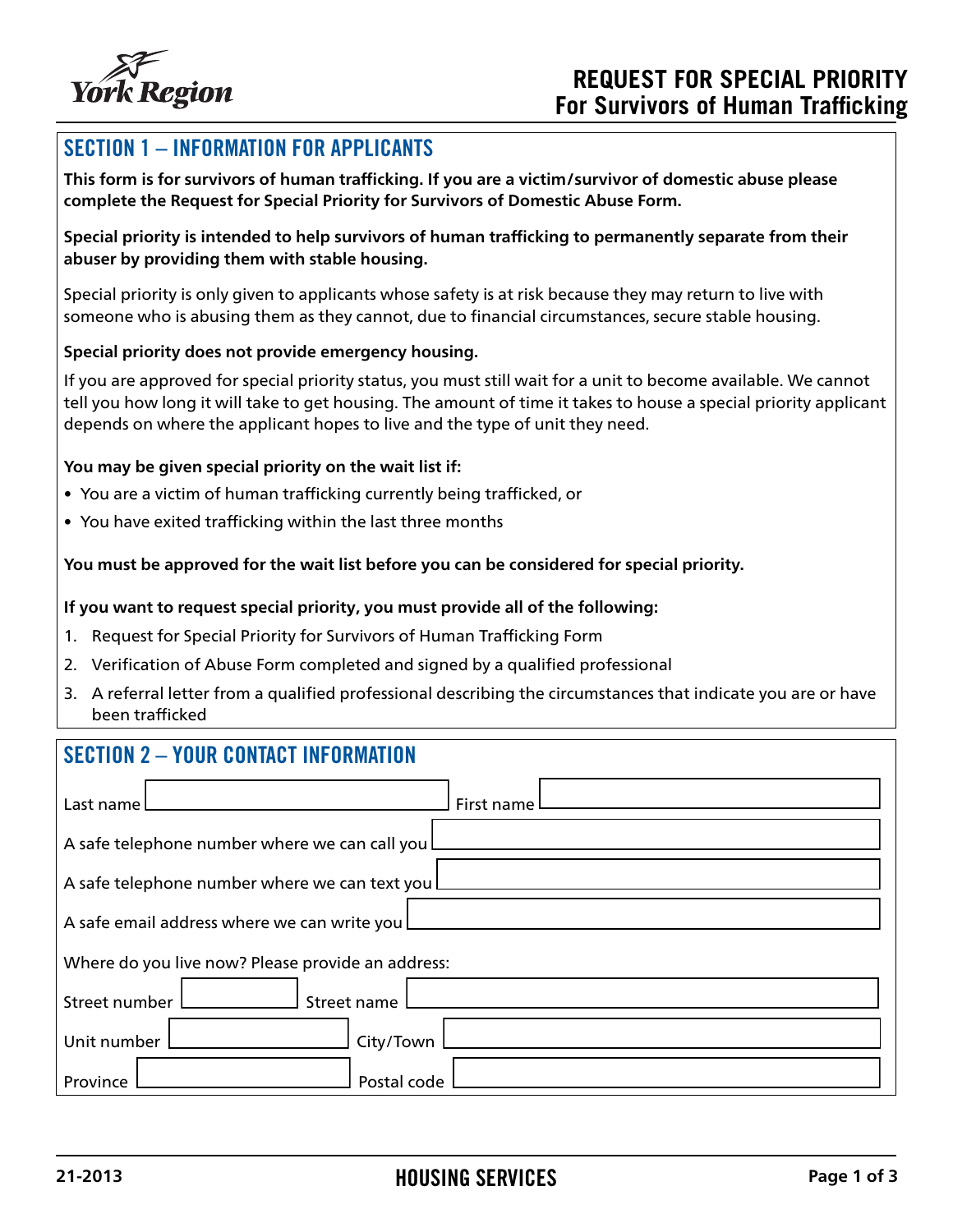

## SECTION 1 – INFORMATION FOR APPLICANTS

**This form is for survivors of human trafficking. If you are a victim/survivor of domestic abuse please complete the Request for Special Priority for Survivors of Domestic Abuse Form.**

**Special priority is intended to help survivors of human trafficking to permanently separate from their abuser by providing them with stable housing.** 

Special priority is only given to applicants whose safety is at risk because they may return to live with someone who is abusing them as they cannot, due to financial circumstances, secure stable housing.

## **Special priority does not provide emergency housing.**

If you are approved for special priority status, you must still wait for a unit to become available. We cannot tell you how long it will take to get housing. The amount of time it takes to house a special priority applicant depends on where the applicant hopes to live and the type of unit they need.

## **You may be given special priority on the wait list if:**

- You are a victim of human trafficking currently being trafficked, or
- You have exited trafficking within the last three months

#### **You must be approved for the wait list before you can be considered for special priority.**

#### **If you want to request special priority, you must provide all of the following:**

- 1. Request for Special Priority for Survivors of Human Trafficking Form
- 2. Verification of Abuse Form completed and signed by a qualified professional
- 3. A referral letter from a qualified professional describing the circumstances that indicate you are or have been trafficked

## SECTION 2 – YOUR CONTACT INFORMATION

| Last name $\Box$                                  | First name L |  |  |  |
|---------------------------------------------------|--------------|--|--|--|
| A safe telephone number where we can call you L   |              |  |  |  |
| A safe telephone number where we can text you L   |              |  |  |  |
| A safe email address where we can write you L     |              |  |  |  |
| Where do you live now? Please provide an address: |              |  |  |  |
| Street number<br>$\Box$ Street name $\Box$        |              |  |  |  |
| Unit number I                                     | City/Town    |  |  |  |
| Province                                          | Postal code  |  |  |  |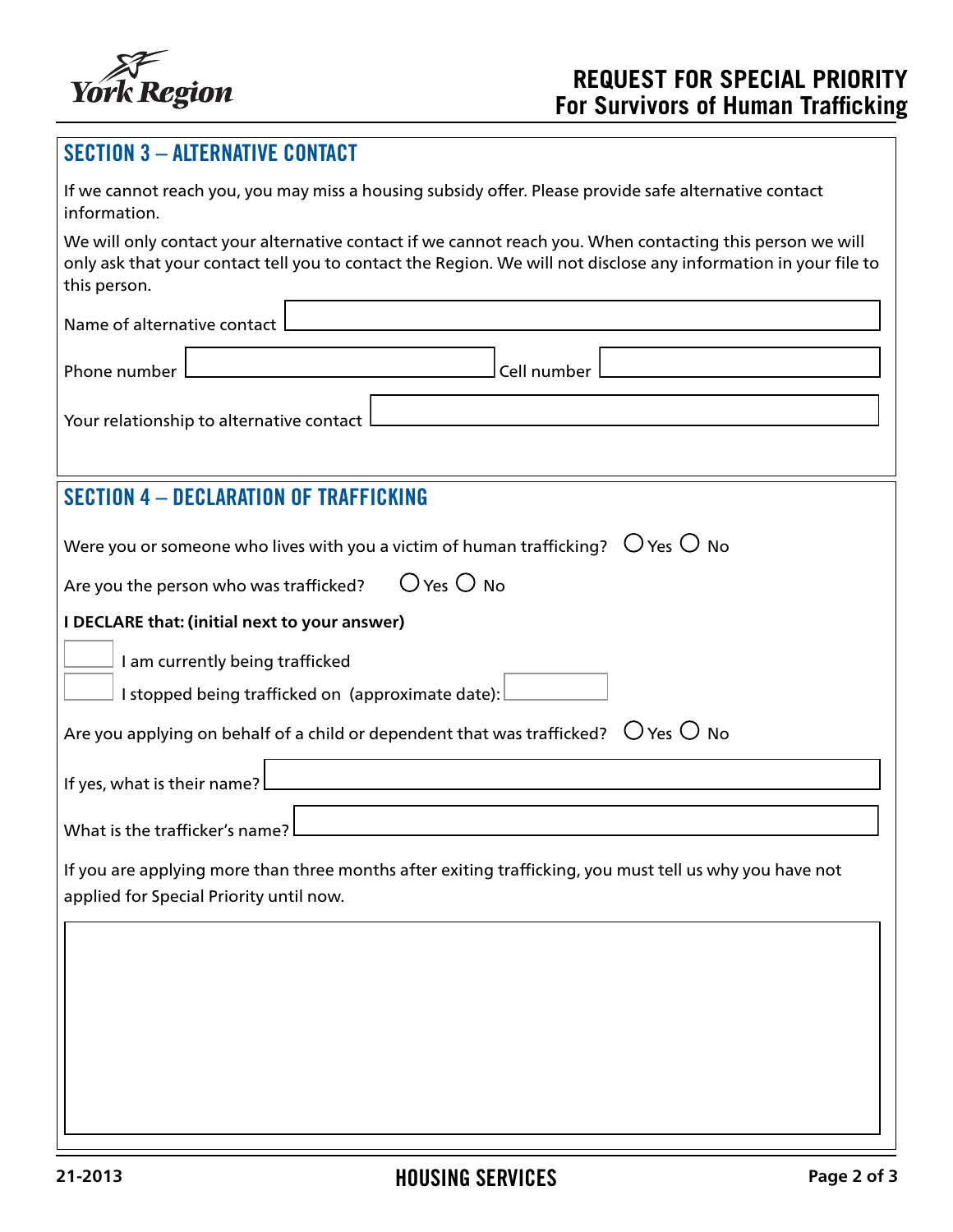

# SECTION 3 – ALTERNATIVE CONTACT

| If we cannot reach you, you may miss a housing subsidy offer. Please provide safe alternative contact |  |  |  |  |  |  |  |  |  |  |
|-------------------------------------------------------------------------------------------------------|--|--|--|--|--|--|--|--|--|--|
| information.                                                                                          |  |  |  |  |  |  |  |  |  |  |
|                                                                                                       |  |  |  |  |  |  |  |  |  |  |

We will only contact your alternative contact if we cannot reach you. When contacting this person we will only ask that your contact tell you to contact the Region. We will not disclose any information in your file to this person.

| Name of alternative contact                                                                                                                        |
|----------------------------------------------------------------------------------------------------------------------------------------------------|
| Cell number<br>Phone number                                                                                                                        |
| Your relationship to alternative contact I                                                                                                         |
| <b>SECTION 4 - DECLARATION OF TRAFFICKING</b>                                                                                                      |
| Were you or someone who lives with you a victim of human trafficking? $\circ$ Yes $\circ$ No                                                       |
| $O$ Yes $O$ No<br>Are you the person who was trafficked?                                                                                           |
| I DECLARE that: (initial next to your answer)<br>I am currently being trafficked<br>I stopped being trafficked on (approximate date):              |
| Are you applying on behalf of a child or dependent that was trafficked? $\;\bigcirc$ Yes $\bigcirc$ No                                             |
| If yes, what is their name?                                                                                                                        |
| What is the trafficker's name?                                                                                                                     |
| If you are applying more than three months after exiting trafficking, you must tell us why you have not<br>applied for Special Priority until now. |
|                                                                                                                                                    |
|                                                                                                                                                    |
|                                                                                                                                                    |
|                                                                                                                                                    |
|                                                                                                                                                    |